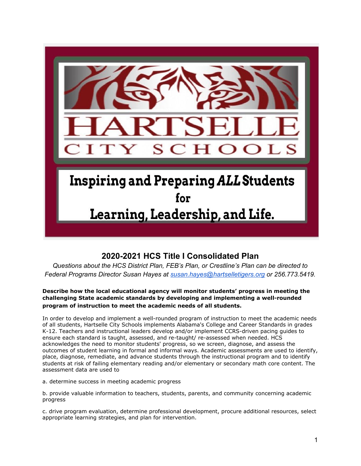

# **2020-2021 HCS Title I Consolidated Plan**

*Questions about the HCS District Plan, FEB's Plan, or Crestline's Plan can be directed to Federal Programs Director Susan Hayes at [susan.hayes@hartselletigers.org](mailto:susan.hayes@hartselletigers.org) or 256.773.5419.*

# **Describe how the local educational agency will monitor students' progress in meeting the challenging State academic standards by developing and implementing a well-rounded program of instruction to meet the academic needs of all students.**

In order to develop and implement a well-rounded program of instruction to meet the academic needs of all students, Hartselle City Schools implements Alabama's College and Career Standards in grades K-12. Teachers and instructional leaders develop and/or implement CCRS-driven pacing guides to ensure each standard is taught, assessed, and re-taught/ re-assessed when needed. HCS acknowledges the need to monitor students' progress, so we screen, diagnose, and assess the outcomes of student learning in formal and informal ways. Academic assessments are used to identify, place, diagnose, remediate, and advance students through the instructional program and to identify students at risk of failing elementary reading and/or elementary or secondary math core content. The assessment data are used to

a. determine success in meeting academic progress

b. provide valuable information to teachers, students, parents, and community concerning academic progress

c. drive program evaluation, determine professional development, procure additional resources, select appropriate learning strategies, and plan for intervention.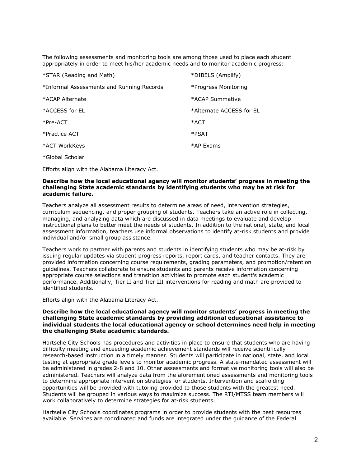The following assessments and monitoring tools are among those used to place each student appropriately in order to meet his/her academic needs and to monitor academic progress:

| *STAR (Reading and Math)                  | *DIBELS (Amplify)        |
|-------------------------------------------|--------------------------|
| *Informal Assessments and Running Records | *Progress Monitoring     |
| *ACAP Alternate                           | *ACAP Summative          |
| *ACCESS for EL                            | *Alternate ACCESS for EL |
| $*Pre-ACT$                                | *ACT                     |
| *Practice ACT                             | *PSAT                    |
| *ACT WorkKeys                             | *AP Exams                |
| *Global Scholar                           |                          |

Efforts align with the Alabama Literacy Act.

# **Describe how the local educational agency will monitor students' progress in meeting the challenging State academic standards by identifying students who may be at risk for academic failure.**

Teachers analyze all assessment results to determine areas of need, intervention strategies, curriculum sequencing, and proper grouping of students. Teachers take an active role in collecting, managing, and analyzing data which are discussed in data meetings to evaluate and develop instructional plans to better meet the needs of students. In addition to the national, state, and local assessment information, teachers use informal observations to identify at-risk students and provide individual and/or small group assistance.

Teachers work to partner with parents and students in identifying students who may be at-risk by issuing regular updates via student progress reports, report cards, and teacher contacts. They are provided information concerning course requirements, grading parameters, and promotion/retention guidelines. Teachers collaborate to ensure students and parents receive information concerning appropriate course selections and transition activities to promote each student's academic performance. Additionally, Tier II and Tier III interventions for reading and math are provided to identified students.

Efforts align with the Alabama Literacy Act.

# **Describe how the local educational agency will monitor students' progress in meeting the challenging State academic standards by providing additional educational assistance to individual students the local educational agency or school determines need help in meeting the challenging State academic standards.**

Hartselle City Schools has procedures and activities in place to ensure that students who are having difficulty meeting and exceeding academic achievement standards will receive scientifically research-based instruction in a timely manner. Students will participate in national, state, and local testing at appropriate grade levels to monitor academic progress. A state-mandated assessment will be administered in grades 2-8 and 10. Other assessments and formative monitoring tools will also be administered. Teachers will analyze data from the aforementioned assessments and monitoring tools to determine appropriate intervention strategies for students. Intervention and scaffolding opportunities will be provided with tutoring provided to those students with the greatest need. Students will be grouped in various ways to maximize success. The RTI/MTSS team members will work collaboratively to determine strategies for at-risk students.

Hartselle City Schools coordinates programs in order to provide students with the best resources available. Services are coordinated and funds are integrated under the guidance of the Federal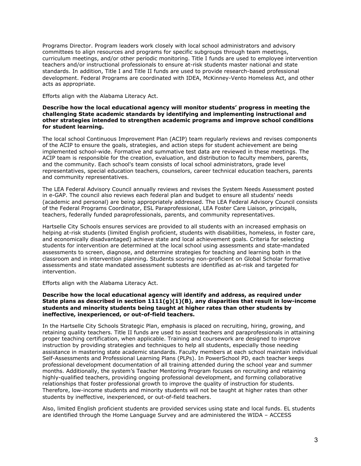Programs Director. Program leaders work closely with local school administrators and advisory committees to align resources and programs for specific subgroups through team meetings, curriculum meetings, and/or other periodic monitoring. Title I funds are used to employee intervention teachers and/or instructional professionals to ensure at-risk students master national and state standards. In addition, Title I and Title II funds are used to provide research-based professional development. Federal Programs are coordinated with IDEA, McKinney-Vento Homeless Act, and other acts as appropriate.

Efforts align with the Alabama Literacy Act.

# **Describe how the local educational agency will monitor students' progress in meeting the challenging State academic standards by identifying and implementing instructional and other strategies intended to strengthen academic programs and improve school conditions for student learning.**

The local school Continuous Improvement Plan (ACIP) team regularly reviews and revises components of the ACIP to ensure the goals, strategies, and action steps for student achievement are being implemented school-wide. Formative and summative test data are reviewed in these meetings. The ACIP team is responsible for the creation, evaluation, and distribution to faculty members, parents, and the community. Each school's team consists of local school administrators, grade level representatives, special education teachers, counselors, career technical education teachers, parents and community representatives.

The LEA Federal Advisory Council annually reviews and revises the System Needs Assessment posted in e-GAP. The council also reviews each federal plan and budget to ensure all students' needs (academic and personal) are being appropriately addressed. The LEA Federal Advisory Council consists of the Federal Programs Coordinator, ESL Paraprofessional, LEA Foster Care Liaison, principals, teachers, federally funded paraprofessionals, parents, and community representatives.

Hartselle City Schools ensures services are provided to all students with an increased emphasis on helping at-risk students (limited English proficient, students with disabilities, homeless, in foster care, and economically disadvantaged) achieve state and local achievement goals. Criteria for selecting students for intervention are determined at the local school using assessments and state-mandated assessments to screen, diagnose, and determine strategies for teaching and learning both in the classroom and in intervention planning. Students scoring non-proficient on Global Scholar formative assessments and state mandated assessment subtests are identified as at-risk and targeted for intervention.

Efforts align with the Alabama Literacy Act.

# **Describe how the local educational agency will identify and address, as required under State plans as described in section 1111(g)(1)(B), any disparities that result in low-income students and minority students being taught at higher rates than other students by ineffective, inexperienced, or out-of-field teachers.**

In the Hartselle City Schools Strategic Plan, emphasis is placed on recruiting, hiring, growing, and retaining quality teachers. Title II funds are used to assist teachers and paraprofessionals in attaining proper teaching certification, when applicable. Training and coursework are designed to improve instruction by providing strategies and techniques to help all students, especially those needing assistance in mastering state academic standards. Faculty members at each school maintain individual Self-Assessments and Professional Learning Plans (PLPs). In PowerSchool PD, each teacher keeps professional development documentation of all training attended during the school year and summer months. Additionally, the system's Teacher Mentoring Program focuses on recruiting and retaining highly-qualified teachers, providing ongoing professional development, and forming collaborative relationships that foster professional growth to improve the quality of instruction for students. Therefore, low-income students and minority students will not be taught at higher rates than other students by ineffective, inexperienced, or out-of-field teachers.

Also, limited English proficient students are provided services using state and local funds. EL students are identified through the Home Language Survey and are administered the WIDA – ACCESS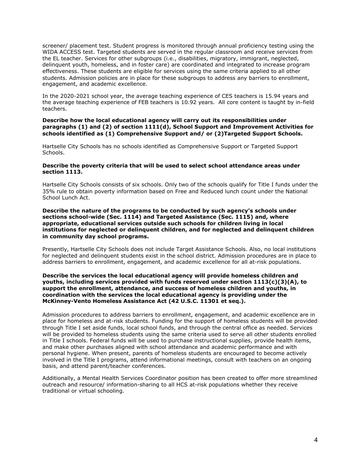screener/ placement test. Student progress is monitored through annual proficiency testing using the WIDA ACCESS test. Targeted students are served in the regular classroom and receive services from the EL teacher. Services for other subgroups (i.e., disabilities, migratory, immigrant, neglected, delinquent youth, homeless, and in foster care) are coordinated and integrated to increase program effectiveness. These students are eligible for services using the same criteria applied to all other students. Admission policies are in place for these subgroups to address any barriers to enrollment, engagement, and academic excellence.

In the 2020-2021 school year, the average teaching experience of CES teachers is 15.94 years and the average teaching experience of FEB teachers is 10.92 years. All core content is taught by in-field teachers.

# **Describe how the local educational agency will carry out its responsibilities under paragraphs (1) and (2) of section 1111(d), School Support and Improvement Activities for schools identified as (1) Comprehensive Support and/ or (2)Targeted Support Schools.**

Hartselle City Schools has no schools identified as Comprehensive Support or Targeted Support Schools.

# **Describe the poverty criteria that will be used to select school attendance areas under section 1113.**

Hartselle City Schools consists of six schools. Only two of the schools qualify for Title I funds under the 35% rule to obtain poverty information based on Free and Reduced lunch count under the National School Lunch Act.

**Describe the nature of the programs to be conducted by such agency's schools under sections school-wide (Sec. 1114) and Targeted Assistance (Sec. 1115) and, where appropriate, educational services outside such schools for children living in local institutions for neglected or delinquent children, and for neglected and delinquent children in community day school programs.**

Presently, Hartselle City Schools does not include Target Assistance Schools. Also, no local institutions for neglected and delinquent students exist in the school district. Admission procedures are in place to address barriers to enrollment, engagement, and academic excellence for all at-risk populations.

# **Describe the services the local educational agency will provide homeless children and youths, including services provided with funds reserved under section 1113(c)(3)(A), to support the enrollment, attendance, and success of homeless children and youths, in coordination with the services the local educational agency is providing under the McKinney-Vento Homeless Assistance Act (42 U.S.C. 11301 et seq.).**

Admission procedures to address barriers to enrollment, engagement, and academic excellence are in place for homeless and at-risk students. Funding for the support of homeless students will be provided through Title I set aside funds, local school funds, and through the central office as needed. Services will be provided to homeless students using the same criteria used to serve all other students enrolled in Title I schools. Federal funds will be used to purchase instructional supplies, provide health items, and make other purchases aligned with school attendance and academic performance and with personal hygiene. When present, parents of homeless students are encouraged to become actively involved in the Title I programs, attend informational meetings, consult with teachers on an ongoing basis, and attend parent/teacher conferences.

Additionally, a Mental Health Services Coordinator position has been created to offer more streamlined outreach and resource/ information-sharing to all HCS at-risk populations whether they receive traditional or virtual schooling.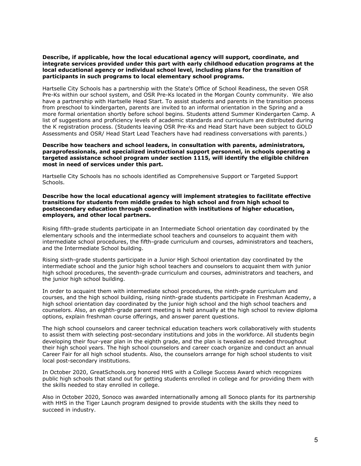**Describe, if applicable, how the local educational agency will support, coordinate, and integrate services provided under this part with early childhood education programs at the local educational agency or individual school level, including plans for the transition of participants in such programs to local elementary school programs.**

Hartselle City Schools has a partnership with the State's Office of School Readiness, the seven OSR Pre-Ks within our school system, and OSR Pre-Ks located in the Morgan County community. We also have a partnership with Hartselle Head Start. To assist students and parents in the transition process from preschool to kindergarten, parents are invited to an informal orientation in the Spring and a more formal orientation shortly before school begins. Students attend Summer Kindergarten Camp. A list of suggestions and proficiency levels of academic standards and curriculum are distributed during the K registration process. (Students leaving OSR Pre-Ks and Head Start have been subject to GOLD Assessments and OSR/ Head Start Lead Teachers have had readiness conversations with parents.)

# **Describe how teachers and school leaders, in consultation with parents, administrators, paraprofessionals, and specialized instructional support personnel, in schools operating a targeted assistance school program under section 1115, will identify the eligible children most in need of services under this part.**

Hartselle City Schools has no schools identified as Comprehensive Support or Targeted Support Schools.

**Describe how the local educational agency will implement strategies to facilitate effective transitions for students from middle grades to high school and from high school to postsecondary education through coordination with institutions of higher education, employers, and other local partners.**

Rising fifth-grade students participate in an Intermediate School orientation day coordinated by the elementary schools and the intermediate school teachers and counselors to acquaint them with intermediate school procedures, the fifth-grade curriculum and courses, administrators and teachers, and the Intermediate School building.

Rising sixth-grade students participate in a Junior High School orientation day coordinated by the intermediate school and the junior high school teachers and counselors to acquaint them with junior high school procedures, the seventh-grade curriculum and courses, administrators and teachers, and the junior high school building.

In order to acquaint them with intermediate school procedures, the ninth-grade curriculum and courses, and the high school building, rising ninth-grade students participate in Freshman Academy, a high school orientation day coordinated by the junior high school and the high school teachers and counselors. Also, an eighth-grade parent meeting is held annually at the high school to review diploma options, explain freshman course offerings, and answer parent questions.

The high school counselors and career technical education teachers work collaboratively with students to assist them with selecting post-secondary institutions and jobs in the workforce. All students begin developing their four-year plan in the eighth grade, and the plan is tweaked as needed throughout their high school years. The high school counselors and career coach organize and conduct an annual Career Fair for all high school students. Also, the counselors arrange for high school students to visit local post-secondary institutions.

In October 2020, GreatSchools.org honored HHS with a College Success Award which recognizes public high schools that stand out for getting students enrolled in college and for providing them with the skills needed to stay enrolled in college.

Also in October 2020, Sonoco was awarded internationally among all Sonoco plants for its partnership with HHS in the Tiger Launch program designed to provide students with the skills they need to succeed in industry.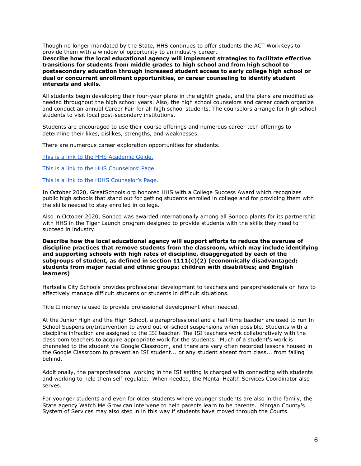Though no longer mandated by the State, HHS continues to offer students the ACT WorkKeys to provide them with a window of opportunity to an industry career.

**Describe how the local educational agency will implement strategies to facilitate effective transitions for students from middle grades to high school and from high school to postsecondary education through increased student access to early college high school or dual or concurrent enrollment opportunities, or career counseling to identify student interests and skills.**

All students begin developing their four-year plans in the eighth grade, and the plans are modified as needed throughout the high school years. Also, the high school counselors and career coach organize and conduct an annual Career Fair for all high school students. The counselors arrange for high school students to visit local post-secondary institutions.

Students are encouraged to use their course offerings and numerous career tech offerings to determine their likes, dislikes, strengths, and weaknesses.

There are numerous career exploration opportunities for students.

[This is a link to the HHS Academic Guide.](https://drive.google.com/file/d/1ClAK8sGBjl6eHlUlLQTREAgXzhh4bNyP/view?usp=sharing)

[This is a link to the HHS Counselors' Page.](https://www.hartselletigers.org/Domain/672#calendar13451/20201026/month)

[This is a link to the HJHS Counselor's Page.](https://www.hartselletigers.org/Page/3222)

In October 2020, GreatSchools.org honored HHS with a College Success Award which recognizes public high schools that stand out for getting students enrolled in college and for providing them with the skills needed to stay enrolled in college.

Also in October 2020, Sonoco was awarded internationally among all Sonoco plants for its partnership with HHS in the Tiger Launch program designed to provide students with the skills they need to succeed in industry.

**Describe how the local educational agency will support efforts to reduce the overuse of discipline practices that remove students from the classroom, which may include identifying and supporting schools with high rates of discipline, disaggregated by each of the subgroups of student, as defined in section 1111(c)(2) (economically disadvantaged; students from major racial and ethnic groups; children with disabilities; and English learners)**

Hartselle City Schools provides professional development to teachers and paraprofessionals on how to effectively manage difficult students or students in difficult situations.

Title II money is used to provide professional development when needed.

At the Junior High and the High School, a paraprofessional and a half-time teacher are used to run In School Suspension/Intervention to avoid out-of-school suspensions when possible. Students with a discipline infraction are assigned to the ISI teacher. The ISI teachers work collaboratively with the classroom teachers to acquire appropriate work for the students. Much of a student's work is channeled to the student via Google Classroom, and there are very often recorded lessons housed in the Google Classroom to prevent an ISI student... or any student absent from class... from falling behind.

Additionally, the paraprofessional working in the ISI setting is charged with connecting with students and working to help them self-regulate. When needed, the Mental Health Services Coordinator also serves.

For younger students and even for older students where younger students are also in the family, the State agency Watch Me Grow can intervene to help parents learn to be parents. Morgan County's System of Services may also step in in this way if students have moved through the Courts.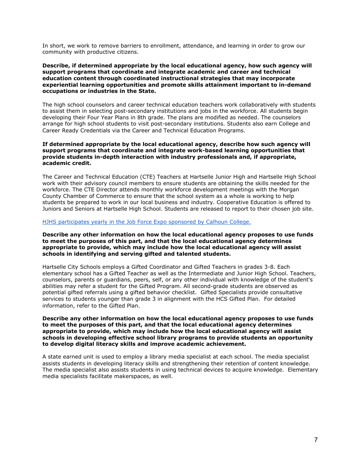In short, we work to remove barriers to enrollment, attendance, and learning in order to grow our community with productive citizens.

# **Describe, if determined appropriate by the local educational agency, how such agency will support programs that coordinate and integrate academic and career and technical education content through coordinated instructional strategies that may incorporate experiential learning opportunities and promote skills attainment important to in-demand occupations or industries in the State.**

The high school counselors and career technical education teachers work collaboratively with students to assist them in selecting post-secondary institutions and jobs in the workforce. All students begin developing their Four Year Plans in 8th grade. The plans are modified as needed. The counselors arrange for high school students to visit post-secondary institutions. Students also earn College and Career Ready Credentials via the Career and Technical Education Programs.

# **If determined appropriate by the local educational agency, describe how such agency will support programs that coordinate and integrate work-based learning opportunities that provide students in-depth interaction with industry professionals and, if appropriate, academic credit.**

The Career and Technical Education (CTE) Teachers at Hartselle Junior High and Hartselle High School work with their advisory council members to ensure students are obtaining the skills needed for the workforce. The CTE Director attends monthly workforce development meetings with the Morgan County Chamber of Commerce to ensure that the school system as a whole is working to help students be prepared to work in our local business and industry. Cooperative Education is offered to Juniors and Seniors at Hartselle High School. Students are released to report to their chosen job site.

# [HJHS participates yearly in the Job Force Expo sponsored by Calhoun College.](https://calhoun.edu/events/workforce-expo/)

# **Describe any other information on how the local educational agency proposes to use funds to meet the purposes of this part, and that the local educational agency determines appropriate to provide, which may include how the local educational agency will assist schools in identifying and serving gifted and talented students.**

Hartselle City Schools employs a Gifted Coordinator and Gifted Teachers in grades 3-8. Each elementary school has a Gifted Teacher as well as the Intermediate and Junior High School. Teachers, counselors, parents or guardians, peers, self, or any other individual with knowledge of the student's abilities may refer a student for the Gifted Program. All second-grade students are observed as potential gifted referrals using a gifted behavior checklist. Gifted Specialists provide consultative services to students younger than grade 3 in alignment with the HCS Gifted Plan. For detailed information, refer to the Gifted Plan.

# **Describe any other information on how the local educational agency proposes to use funds to meet the purposes of this part, and that the local educational agency determines appropriate to provide, which may include how the local educational agency will assist schools in developing effective school library programs to provide students an opportunity to develop digital literacy skills and improve academic achievement.**

A state earned unit is used to employ a library media specialist at each school. The media specialist assists students in developing literacy skills and strengthening their retention of content knowledge. The media specialist also assists students in using technical devices to acquire knowledge. Elementary media specialists facilitate makerspaces, as well.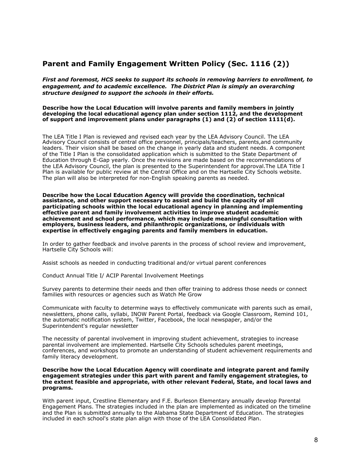# **Parent and Family Engagement Written Policy (Sec. 1116 (2))**

*First and foremost, HCS seeks to support its schools in removing barriers to enrollment, to engagement, and to academic excellence. The District Plan is simply an overarching structure designed to support the schools in their efforts.*

#### **Describe how the Local Education will involve parents and family members in jointly developing the local educational agency plan under section 1112, and the development of support and improvement plans under paragraphs (1) and (2) of section 1111(d).**

The LEA Title I Plan is reviewed and revised each year by the LEA Advisory Council. The LEA Advisory Council consists of central office personnel, principals/teachers, parents,and community leaders. Their vision shall be based on the change in yearly data and student needs. A component of the Title I Plan is the consolidated application which is submitted to the State Department of Education through E-Gap yearly. Once the revisions are made based on the recommendations of the LEA Advisory Council, the plan is presented to the Superintendent for approval.The LEA Title I Plan is available for public review at the Central Office and on the Hartselle City Schools website. The plan will also be interpreted for non-English speaking parents as needed.

**Describe how the Local Education Agency will provide the coordination, technical assistance, and other support necessary to assist and build the capacity of all participating schools within the local educational agency in planning and implementing effective parent and family involvement activities to improve student academic achievement and school performance, which may include meaningful consultation with employers, business leaders, and philanthropic organizations, or individuals with expertise in effectively engaging parents and family members in education.**

In order to gather feedback and involve parents in the process of school review and improvement, Hartselle City Schools will:

Assist schools as needed in conducting traditional and/or virtual parent conferences

Conduct Annual Title I/ ACIP Parental Involvement Meetings

Survey parents to determine their needs and then offer training to address those needs or connect families with resources or agencies such as Watch Me Grow

Communicate with faculty to determine ways to effectively communicate with parents such as email, newsletters, phone calls, syllabi, INOW Parent Portal, feedback via Google Classroom, Remind 101, the automatic notification system, Twitter, Facebook, the local newspaper, and/or the Superintendent's regular newsletter

The necessity of parental involvement in improving student achievement, strategies to increase parental involvement are implemented. Hartselle City Schools schedules parent meetings, conferences, and workshops to promote an understanding of student achievement requirements and family literacy development.

#### **Describe how the Local Education Agency will coordinate and integrate parent and family engagement strategies under this part with parent and family engagement strategies, to the extent feasible and appropriate, with other relevant Federal, State, and local laws and programs.**

With parent input, Crestline Elementary and F.E. Burleson Elementary annually develop Parental Engagement Plans. The strategies included in the plan are implemented as indicated on the timeline and the Plan is submitted annually to the Alabama State Department of Education. The strategies included in each school's state plan align with those of the LEA Consolidated Plan.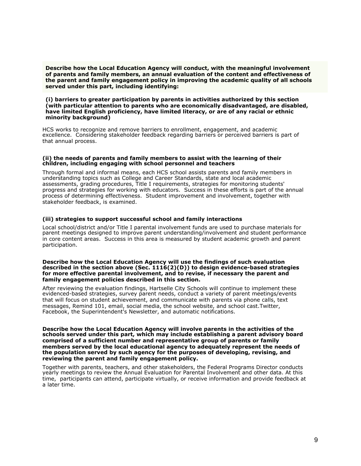**Describe how the Local Education Agency will conduct, with the meaningful involvement of parents and family members, an annual evaluation of the content and effectiveness of the parent and family engagement policy in improving the academic quality of all schools served under this part, including identifying:**

#### **(i) barriers to greater participation by parents in activities authorized by this section (with particular attention to parents who are economically disadvantaged, are disabled, have limited English proficiency, have limited literacy, or are of any racial or ethnic minority background)**

HCS works to recognize and remove barriers to enrollment, engagement, and academic excellence. Considering stakeholder feedback regarding barriers or perceived barriers is part of that annual process.

#### **(ii) the needs of parents and family members to assist with the learning of their children, including engaging with school personnel and teachers**

Through formal and informal means, each HCS school assists parents and family members in understanding topics such as College and Career Standards, state and local academic assessments, grading procedures, Title I requirements, strategies for monitoring students' progress and strategies for working with educators. Success in these efforts is part of the annual process of determining effectiveness. Student improvement and involvement, together with stakeholder feedback, is examined.

# **(iii) strategies to support successful school and family interactions**

Local school/district and/or Title I parental involvement funds are used to purchase materials for parent meetings designed to improve parent understanding/involvement and student performance in core content areas. Success in this area is measured by student academic growth and parent participation.

#### **Describe how the Local Education Agency will use the findings of such evaluation described in the section above (Sec. 1116(2)(D)) to design evidence-based strategies for more effective parental involvement, and to revise, if necessary the parent and family engagement policies described in this section.**

After reviewing the evaluation findings, Hartselle City Schools will continue to implement these evidenced-based strategies, survey parent needs, conduct a variety of parent meetings/events that will focus on student achievement, and communicate with parents via phone calls, text messages, Remind 101, email, social media, the school website, and school cast.Twitter, Facebook, the Superintendent's Newsletter, and automatic notifications.

**Describe how the Local Education Agency will involve parents in the activities of the schools served under this part, which may include establishing a parent advisory board comprised of a sufficient number and representative group of parents or family members served by the local educational agency to adequately represent the needs of the population served by such agency for the purposes of developing, revising, and reviewing the parent and family engagement policy.**

Together with parents, teachers, and other stakeholders, the Federal Programs Director conducts yearly meetings to review the Annual Evaluation for Parental Involvement and other data. At this time, participants can attend, participate virtually, or receive information and provide feedback at a later time.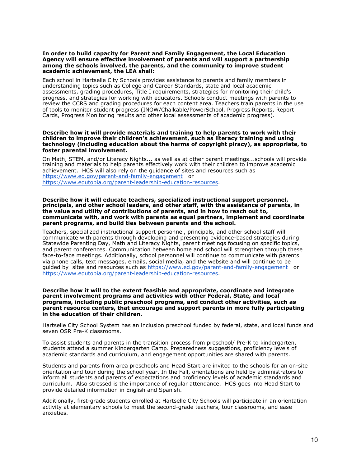#### **In order to build capacity for Parent and Family Engagement, the Local Education Agency will ensure effective involvement of parents and will support a partnership among the schools involved, the parents, and the community to improve student academic achievement, the LEA shall:**

Each school in Hartselle City Schools provides assistance to parents and family members in understanding topics such as College and Career Standards, state and local academic assessments, grading procedures, Title I requirements, strategies for monitoring their child's progress, and strategies for working with educators. Schools conduct meetings with parents to review the CCRS and grading procedures for each content area. Teachers train parents in the use of tools to monitor student progress (INOW/Chalkable/PowerSchool, Progress Reports, Report Cards, Progress Monitoring results and other local assessments of academic progress).

#### **Describe how it will provide materials and training to help parents to work with their children to improve their children's achievement, such as literacy training and using technology (including education about the harms of copyright piracy), as appropriate, to foster parental involvement.**

On Math, STEM, and/or Literacy Nights... as well as at other parent meetings...schools will provide training and materials to help parents effectively work with their children to improve academic achievement. HCS will also rely on the guidance of sites and resources such as <https://www.ed.gov/parent-and-family-engagement>or [https://www.edutopia.org/parent-leadership-education-resources.](https://www.edutopia.org/parent-leadership-education-resources)

#### **Describe how it will educate teachers, specialized instructional support personnel, principals, and other school leaders, and other staff, with the assistance of parents, in the value and utility of contributions of parents, and in how to reach out to, communicate with, and work with parents as equal partners, implement and coordinate parent programs, and build ties between parents and the school.**

Teachers, specialized instructional support personnel, principals, and other school staff will communicate with parents through developing and presenting evidence-based strategies during Statewide Parenting Day, Math and Literacy Nights, parent meetings focusing on specific topics, and parent conferences. Communication between home and school will strengthen through these face-to-face meetings. Additionally, school personnel will continue to communicate with parents via phone calls, text messages, emails, social media, and the website and will continue to be guided by sites and resources such as<https://www.ed.gov/parent-and-family-engagement> or [https://www.edutopia.org/parent-leadership-education-resources.](https://www.edutopia.org/parent-leadership-education-resources)

#### **Describe how it will to the extent feasible and appropriate, coordinate and integrate parent involvement programs and activities with other Federal, State, and local programs, including public preschool programs, and conduct other activities, such as parent resource centers, that encourage and support parents in more fully participating in the education of their children.**

Hartselle City School System has an inclusion preschool funded by federal, state, and local funds and seven OSR Pre-K classrooms.

To assist students and parents in the transition process from preschool/ Pre-K to kindergarten, students attend a summer Kindergarten Camp. Preparedness suggestions, proficiency levels of academic standards and curriculum, and engagement opportunities are shared with parents.

Students and parents from area preschools and Head Start are invited to the schools for an on-site orientation and tour during the school year. In the Fall, orientations are held by administrators to inform all students and parents of expectations and proficiency levels of academic standards and curriculum. Also stressed is the importance of regular attendance. HCS goes into Head Start to provide detailed information in English and Spanish.

Additionally, first-grade students enrolled at Hartselle City Schools will participate in an orientation activity at elementary schools to meet the second-grade teachers, tour classrooms, and ease anxieties.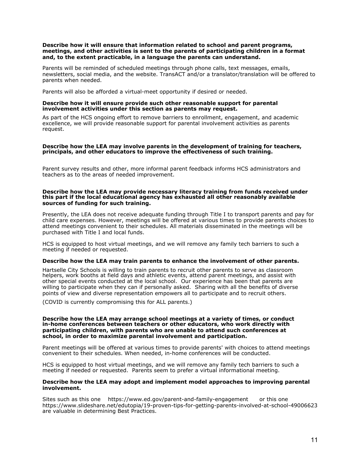### **Describe how it will ensure that information related to school and parent programs, meetings, and other activities is sent to the parents of participating children in a format and, to the extent practicable, in a language the parents can understand.**

Parents will be reminded of scheduled meetings through phone calls, text messages, emails, newsletters, social media, and the website. TransACT and/or a translator/translation will be offered to parents when needed.

Parents will also be afforded a virtual-meet opportunity if desired or needed.

# **Describe how it will ensure provide such other reasonable support for parental involvement activities under this section as parents may request.**

As part of the HCS ongoing effort to remove barriers to enrollment, engagement, and academic excellence, we will provide reasonable support for parental involvement activities as parents request.

### **Describe how the LEA may involve parents in the development of training for teachers, principals, and other educators to improve the effectiveness of such training.**

Parent survey results and other, more informal parent feedback informs HCS administrators and teachers as to the areas of needed improvement.

#### **Describe how the LEA may provide necessary literacy training from funds received under this part if the local educational agency has exhausted all other reasonably available sources of funding for such training.**

Presently, the LEA does not receive adequate funding through Title I to transport parents and pay for child care expenses. However, meetings will be offered at various times to provide parents choices to attend meetings convenient to their schedules. All materials disseminated in the meetings will be purchased with Title I and local funds.

HCS is equipped to host virtual meetings, and we will remove any family tech barriers to such a meeting if needed or requested.

# **Describe how the LEA may train parents to enhance the involvement of other parents.**

Hartselle City Schools is willing to train parents to recruit other parents to serve as classroom helpers, work booths at field days and athletic events, attend parent meetings, and assist with other special events conducted at the local school. Our experience has been that parents are willing to participate when they can if personally asked. Sharing with all the benefits of diverse points of view and diverse representation empowers all to participate and to recruit others.

(COVID is currently compromising this for ALL parents.)

#### **Describe how the LEA may arrange school meetings at a variety of times, or conduct in-home conferences between teachers or other educators, who work directly with participating children, with parents who are unable to attend such conferences at school, in order to maximize parental involvement and participation.**

Parent meetings will be offered at various times to provide parents' with choices to attend meetings convenient to their schedules. When needed, in-home conferences will be conducted.

HCS is equipped to host virtual meetings, and we will remove any family tech barriers to such a meeting if needed or requested. Parents seem to prefer a virtual informational meeting.

#### **Describe how the LEA may adopt and implement model approaches to improving parental involvement.**

Sites such as this one https://www.ed.gov/parent-and-family-engagement or this one https://www.slideshare.net/edutopia/19-proven-tips-for-getting-parents-involved-at-school-49006623 are valuable in determining Best Practices.